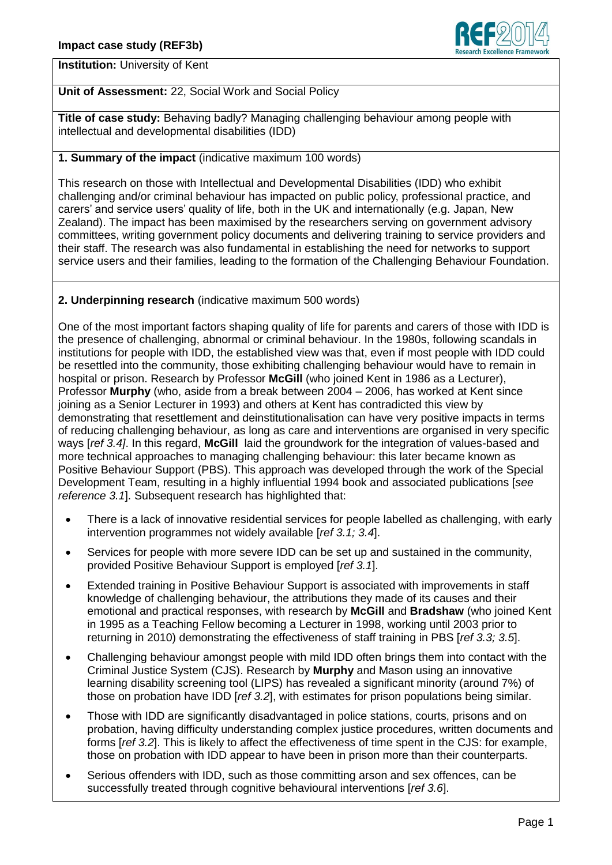

**Institution:** University of Kent

## **Unit of Assessment:** 22, Social Work and Social Policy

**Title of case study:** Behaving badly? Managing challenging behaviour among people with intellectual and developmental disabilities (IDD)

## **1. Summary of the impact** (indicative maximum 100 words)

This research on those with Intellectual and Developmental Disabilities (IDD) who exhibit challenging and/or criminal behaviour has impacted on public policy, professional practice, and carers' and service users' quality of life, both in the UK and internationally (e.g. Japan, New Zealand). The impact has been maximised by the researchers serving on government advisory committees, writing government policy documents and delivering training to service providers and their staff. The research was also fundamental in establishing the need for networks to support service users and their families, leading to the formation of the Challenging Behaviour Foundation.

## **2. Underpinning research** (indicative maximum 500 words)

One of the most important factors shaping quality of life for parents and carers of those with IDD is the presence of challenging, abnormal or criminal behaviour. In the 1980s, following scandals in institutions for people with IDD, the established view was that, even if most people with IDD could be resettled into the community, those exhibiting challenging behaviour would have to remain in hospital or prison. Research by Professor **McGill** (who joined Kent in 1986 as a Lecturer), Professor **Murphy** (who, aside from a break between 2004 – 2006, has worked at Kent since joining as a Senior Lecturer in 1993) and others at Kent has contradicted this view by demonstrating that resettlement and deinstitutionalisation can have very positive impacts in terms of reducing challenging behaviour, as long as care and interventions are organised in very specific ways [*ref 3.4]*. In this regard, **McGill** laid the groundwork for the integration of values-based and more technical approaches to managing challenging behaviour: this later became known as Positive Behaviour Support (PBS). This approach was developed through the work of the Special Development Team, resulting in a highly influential 1994 book and associated publications [*see reference 3.1*]. Subsequent research has highlighted that:

- There is a lack of innovative residential services for people labelled as challenging, with early intervention programmes not widely available [*ref 3.1; 3.4*].
- Services for people with more severe IDD can be set up and sustained in the community, provided Positive Behaviour Support is employed [*ref 3.1*].
- Extended training in Positive Behaviour Support is associated with improvements in staff knowledge of challenging behaviour, the attributions they made of its causes and their emotional and practical responses, with research by **McGill** and **Bradshaw** (who joined Kent in 1995 as a Teaching Fellow becoming a Lecturer in 1998, working until 2003 prior to returning in 2010) demonstrating the effectiveness of staff training in PBS [*ref 3.3; 3.5*].
- Challenging behaviour amongst people with mild IDD often brings them into contact with the Criminal Justice System (CJS). Research by **Murphy** and Mason using an innovative learning disability screening tool (LIPS) has revealed a significant minority (around 7%) of those on probation have IDD [*ref 3.2*], with estimates for prison populations being similar.
- Those with IDD are significantly disadvantaged in police stations, courts, prisons and on probation, having difficulty understanding complex justice procedures, written documents and forms [*ref 3.2*]. This is likely to affect the effectiveness of time spent in the CJS: for example, those on probation with IDD appear to have been in prison more than their counterparts.
- Serious offenders with IDD, such as those committing arson and sex offences, can be successfully treated through cognitive behavioural interventions [*ref 3.6*].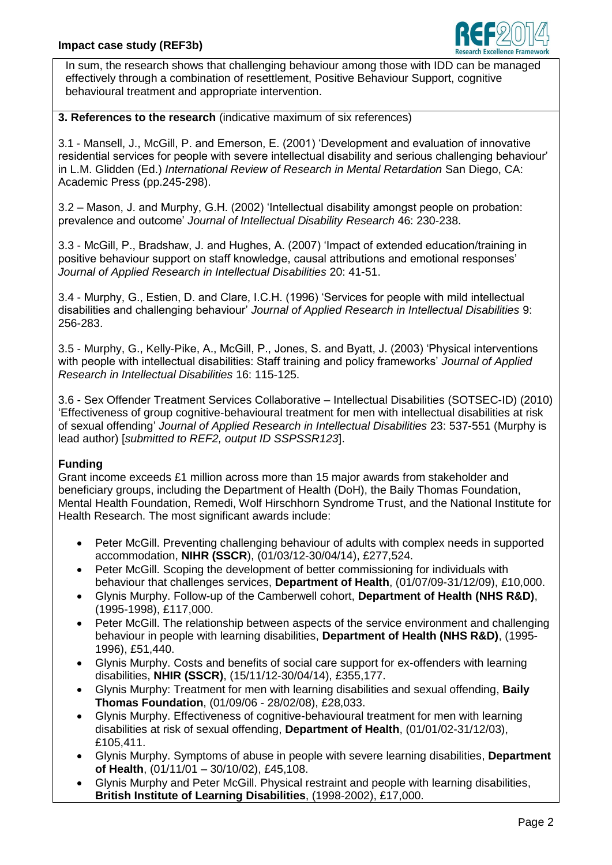

In sum, the research shows that challenging behaviour among those with IDD can be managed effectively through a combination of resettlement, Positive Behaviour Support, cognitive behavioural treatment and appropriate intervention.

#### **3. References to the research** (indicative maximum of six references)

3.1 - Mansell, J., McGill, P. and Emerson, E. (2001) 'Development and evaluation of innovative residential services for people with severe intellectual disability and serious challenging behaviour' in L.M. Glidden (Ed.) *International Review of Research in Mental Retardation* San Diego, CA: Academic Press (pp.245-298).

3.2 – Mason, J. and Murphy, G.H. (2002) 'Intellectual disability amongst people on probation: prevalence and outcome' *Journal of Intellectual Disability Research* 46: 230-238.

3.3 - McGill, P., Bradshaw, J. and Hughes, A. (2007) 'Impact of extended education/training in positive behaviour support on staff knowledge, causal attributions and emotional responses' *Journal of Applied Research in Intellectual Disabilities* 20: 41-51.

3.4 - Murphy, G., Estien, D. and Clare, I.C.H. (1996) 'Services for people with mild intellectual disabilities and challenging behaviour' *Journal of Applied Research in Intellectual Disabilities* 9: 256-283.

3.5 - Murphy, G., Kelly-Pike, A., McGill, P., Jones, S. and Byatt, J. (2003) 'Physical interventions with people with intellectual disabilities: Staff training and policy frameworks' *Journal of Applied Research in Intellectual Disabilities* 16: 115-125.

3.6 - Sex Offender Treatment Services Collaborative – Intellectual Disabilities (SOTSEC-ID) (2010) 'Effectiveness of group cognitive-behavioural treatment for men with intellectual disabilities at risk of sexual offending' *Journal of Applied Research in Intellectual Disabilities* 23: 537-551 (Murphy is lead author) [*submitted to REF2, output ID SSPSSR123*].

### **Funding**

Grant income exceeds £1 million across more than 15 major awards from stakeholder and beneficiary groups, including the Department of Health (DoH), the Baily Thomas Foundation, Mental Health Foundation, Remedi, Wolf Hirschhorn Syndrome Trust, and the National Institute for Health Research. The most significant awards include:

- Peter McGill. Preventing challenging behaviour of adults with complex needs in supported accommodation, **NIHR (SSCR**), (01/03/12-30/04/14), £277,524.
- Peter McGill. Scoping the development of better commissioning for individuals with behaviour that challenges services, **Department of Health**, (01/07/09-31/12/09), £10,000.
- Glynis Murphy. Follow-up of the Camberwell cohort, **Department of Health (NHS R&D)**, (1995-1998), £117,000.
- Peter McGill. The relationship between aspects of the service environment and challenging behaviour in people with learning disabilities, **Department of Health (NHS R&D)**, (1995- 1996), £51,440.
- Glynis Murphy. Costs and benefits of social care support for ex-offenders with learning disabilities, **NHIR (SSCR)**, (15/11/12-30/04/14), £355,177.
- Glynis Murphy: Treatment for men with learning disabilities and sexual offending, **Baily Thomas Foundation**, (01/09/06 - 28/02/08), £28,033.
- Glynis Murphy. Effectiveness of cognitive-behavioural treatment for men with learning disabilities at risk of sexual offending, **Department of Health**, (01/01/02-31/12/03), £105,411.
- Glynis Murphy. Symptoms of abuse in people with severe learning disabilities, **Department of Health**, (01/11/01 – 30/10/02), £45,108.
- Glynis Murphy and Peter McGill. Physical restraint and people with learning disabilities, **British Institute of Learning Disabilities**, (1998-2002), £17,000.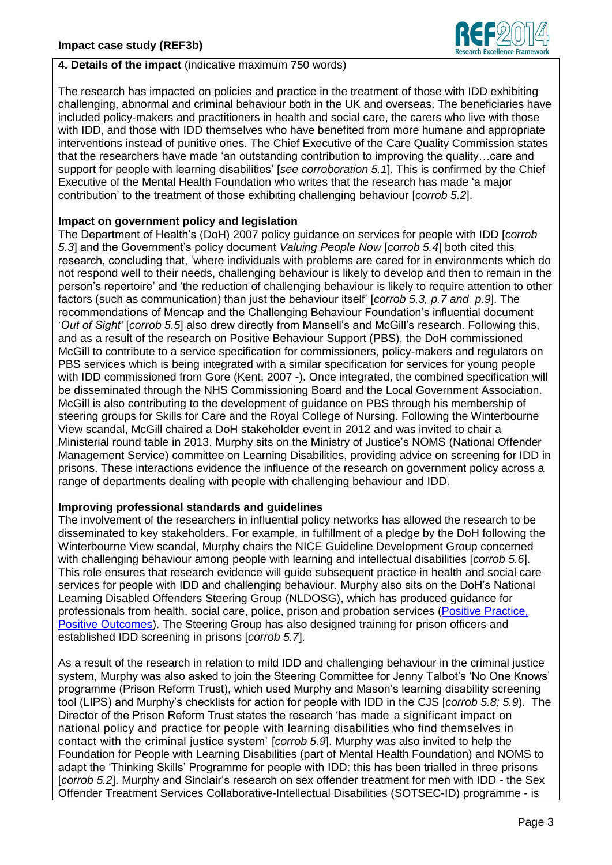

### **4. Details of the impact** (indicative maximum 750 words)

The research has impacted on policies and practice in the treatment of those with IDD exhibiting challenging, abnormal and criminal behaviour both in the UK and overseas. The beneficiaries have included policy-makers and practitioners in health and social care, the carers who live with those with IDD, and those with IDD themselves who have benefited from more humane and appropriate interventions instead of punitive ones. The Chief Executive of the Care Quality Commission states that the researchers have made 'an outstanding contribution to improving the quality…care and support for people with learning disabilities' [*see corroboration 5.1*]. This is confirmed by the Chief Executive of the Mental Health Foundation who writes that the research has made 'a major contribution' to the treatment of those exhibiting challenging behaviour [*corrob 5.2*].

## **Impact on government policy and legislation**

The Department of Health's (DoH) 2007 policy guidance on services for people with IDD [*corrob 5.3*] and the Government's policy document *Valuing People Now* [*corrob 5.4*] both cited this research, concluding that, 'where individuals with problems are cared for in environments which do not respond well to their needs, challenging behaviour is likely to develop and then to remain in the person's repertoire' and 'the reduction of challenging behaviour is likely to require attention to other factors (such as communication) than just the behaviour itself' [*corrob 5.3, p.7 and p.9*]. The recommendations of Mencap and the Challenging Behaviour Foundation's influential document '*Out of Sight'* [*corrob 5.5*] also drew directly from Mansell's and McGill's research. Following this, and as a result of the research on Positive Behaviour Support (PBS), the DoH commissioned McGill to contribute to a service specification for commissioners, policy-makers and regulators on PBS services which is being integrated with a similar specification for services for young people with IDD commissioned from Gore (Kent, 2007 -). Once integrated, the combined specification will be disseminated through the NHS Commissioning Board and the Local Government Association. McGill is also contributing to the development of guidance on PBS through his membership of steering groups for Skills for Care and the Royal College of Nursing. Following the Winterbourne View scandal, McGill chaired a DoH stakeholder event in 2012 and was invited to chair a Ministerial round table in 2013. Murphy sits on the Ministry of Justice's NOMS (National Offender Management Service) committee on Learning Disabilities, providing advice on screening for IDD in prisons. These interactions evidence the influence of the research on government policy across a range of departments dealing with people with challenging behaviour and IDD.

# **Improving professional standards and guidelines**

The involvement of the researchers in influential policy networks has allowed the research to be disseminated to key stakeholders. For example, in fulfillment of a pledge by the DoH following the Winterbourne View scandal, Murphy chairs the NICE Guideline Development Group concerned with challenging behaviour among people with learning and intellectual disabilities [*corrob 5.6*]. This role ensures that research evidence will guide subsequent practice in health and social care services for people with IDD and challenging behaviour. Murphy also sits on the DoH's National Learning Disabled Offenders Steering Group (NLDOSG), which has produced guidance for professionals from health, social care, police, prison and probation services [\(Positive Practice,](https://www.gov.uk/government/uploads/system/uploads/attachment_data/file/216318/dh_124744.pdf)  [Positive Outcomes\)](https://www.gov.uk/government/uploads/system/uploads/attachment_data/file/216318/dh_124744.pdf). The Steering Group has also designed training for prison officers and established IDD screening in prisons [*corrob 5.7*].

As a result of the research in relation to mild IDD and challenging behaviour in the criminal justice system, Murphy was also asked to join the Steering Committee for Jenny Talbot's 'No One Knows' programme (Prison Reform Trust), which used Murphy and Mason's learning disability screening tool (LIPS) and Murphy's checklists for action for people with IDD in the CJS [*corrob 5.8; 5.9*). The Director of the Prison Reform Trust states the research 'has made a significant impact on national policy and practice for people with learning disabilities who find themselves in contact with the criminal justice system' [*corrob 5.9*]. Murphy was also invited to help the Foundation for People with Learning Disabilities (part of Mental Health Foundation) and NOMS to adapt the 'Thinking Skills' Programme for people with IDD: this has been trialled in three prisons [*corrob 5.2*]. Murphy and Sinclair's research on sex offender treatment for men with IDD - the Sex Offender Treatment Services Collaborative-Intellectual Disabilities (SOTSEC-ID) programme - is